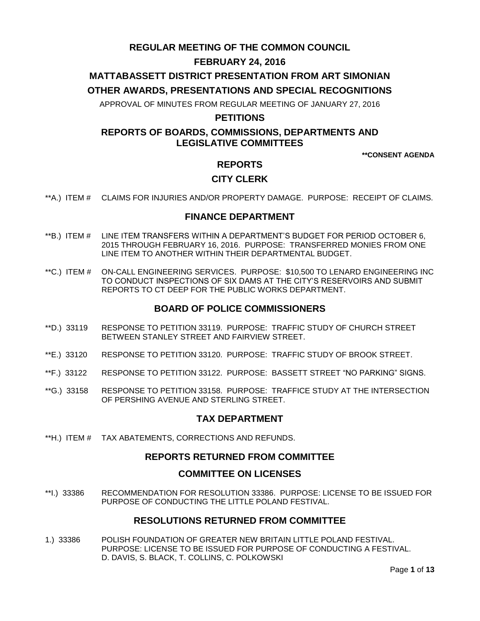# **REGULAR MEETING OF THE COMMON COUNCIL**

## **FEBRUARY 24, 2016**

# **MATTABASSETT DISTRICT PRESENTATION FROM ART SIMONIAN**

### **OTHER AWARDS, PRESENTATIONS AND SPECIAL RECOGNITIONS**

APPROVAL OF MINUTES FROM REGULAR MEETING OF JANUARY 27, 2016

### **PETITIONS**

# **REPORTS OF BOARDS, COMMISSIONS, DEPARTMENTS AND LEGISLATIVE COMMITTEES**

**\*\*CONSENT AGENDA**

### **REPORTS**

### **CITY CLERK**

\*\*A.) ITEM # [CLAIMS FOR INJURIES AND/OR PROPERTY DAMAGE. PURPOSE: RECEIPT OF CLAIMS.](#page-2-0)

### **FINANCE DEPARTMENT**

- \*\*B.) ITEM # [LINE ITEM TRANSFERS WITHIN A DEPARTMENT'S BUDGET FOR PERIOD OCTOBER 6,](#page-2-1)  2015 [THROUGH FEBRUARY 16, 2016. PURPOSE: TRANSFERRED MONIES FROM ONE](#page-2-1)  [LINE ITEM TO ANOTHER WITHIN THEIR DEPARTMENTAL BUDGET.](#page-2-1)
- \*\*C.) ITEM # [ON-CALL ENGINEERING SERVICES. PURPOSE: \\$10,500 TO LENARD ENGINEERING INC](#page-3-0)  [TO CONDUCT INSPECTIONS OF SIX DAMS AT THE CITY'S RESERVOIRS AND SUBMIT](#page-3-0)  [REPORTS TO CT DEEP FOR THE PUBLIC WORKS DEPARTMENT.](#page-3-0)

### **BOARD OF POLICE COMMISSIONERS**

- \*\*D.) 33119 [RESPONSE TO PETITION 33119. PURPOSE: TRAFFIC STUDY OF CHURCH STREET](#page-3-1)  [BETWEEN STANLEY STREET AND FAIRVIEW STREET.](#page-3-1)
- \*\*E.) 33120 [RESPONSE TO PETITION 33120. PURPOSE: TRAFFIC STUDY OF BROOK STREET.](#page-4-0)
- \*\*F.) 33122 [RESPONSE TO PETITION 33122. PURPOSE: BASSETT STREET](#page-4-1) "NO PARKING" SIGNS.
- \*\*G.) 33158 [RESPONSE TO PETITION 33158. PURPOSE: TRAFFICE STUDY AT THE INTERSECTION](#page-4-2)  [OF PERSHING AVENUE AND STERLING STREET.](#page-4-2)

### **TAX DEPARTMENT**

\*\*H.) ITEM # [TAX ABATEMENTS, CORRECTIONS AND REFUNDS.](#page-5-0)

### **REPORTS RETURNED FROM COMMITTEE**

#### **COMMITTEE ON LICENSES**

\*\*I.) 33386 [RECOMMENDATION FOR RESOLUTION 33386. PURPOSE: LICENSE TO BE ISSUED FOR](#page-5-1)  [PURPOSE OF CONDUCTING THE LITTLE POLAND FESTIVAL.](#page-5-1) 

### **RESOLUTIONS RETURNED FROM COMMITTEE**

1.) 33386 [POLISH FOUNDATION OF GREATER NEW BRITAIN LITTLE POLAND FESTIVAL.](#page-5-2)  [PURPOSE: LICENSE TO BE ISSUED FOR PURPOSE OF CONDUCTING A FESTIVAL.](#page-5-2)  [D. DAVIS, S. BLACK, T. COLLINS, C. POLKOWSKI](#page-5-2)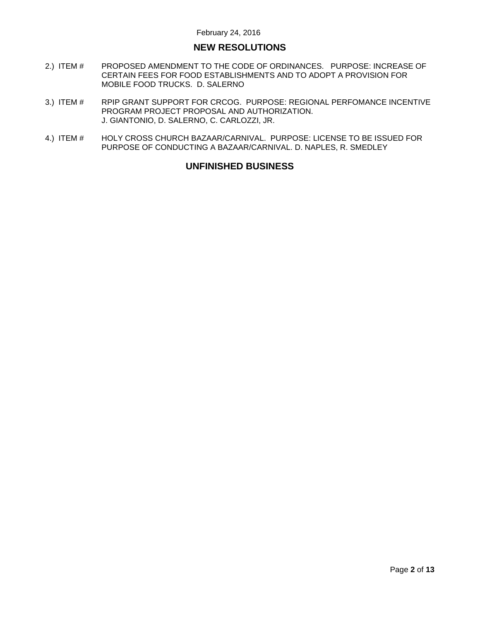# **NEW RESOLUTIONS**

- 2.) ITEM # [PROPOSED AMENDMENT TO THE CODE OF ORDINANCES. PURPOSE: INCREASE OF](#page-6-0)  [CERTAIN FEES FOR FOOD ESTABLISHMENTS AND TO ADOPT A PROVISION FOR](#page-6-0)  [MOBILE FOOD TRUCKS. D. SALERNO](#page-6-0)
- 3.) ITEM # [RPIP GRANT SUPPORT FOR CRCOG. PURPOSE: REGIONAL PERFOMANCE INCENTIVE](#page-11-0)  [PROGRAM PROJECT PROPOSAL AND AUTHORIZATION.](#page-11-0)  [J. GIANTONIO, D. SALERNO, C. CARLOZZI, JR.](#page-11-0)
- 4.) ITEM # HOLY CROSS CHURCH [BAZAAR/CARNIVAL. PURPOSE: LICENSE TO BE ISSUED FOR](#page-12-0)  [PURPOSE OF CONDUCTING A BAZAAR/CARNIVAL. D. NAPLES, R. SMEDLEY](#page-12-0)

## **UNFINISHED BUSINESS**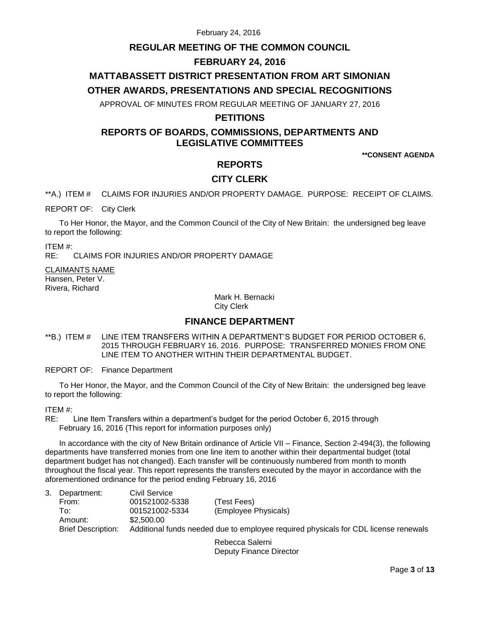# **REGULAR MEETING OF THE COMMON COUNCIL**

# **FEBRUARY 24, 2016**

# **MATTABASSETT DISTRICT PRESENTATION FROM ART SIMONIAN**

## **OTHER AWARDS, PRESENTATIONS AND SPECIAL RECOGNITIONS**

APPROVAL OF MINUTES FROM REGULAR MEETING OF JANUARY 27, 2016

## **PETITIONS**

# **REPORTS OF BOARDS, COMMISSIONS, DEPARTMENTS AND LEGISLATIVE COMMITTEES**

**\*\*CONSENT AGENDA**

## **REPORTS**

# **CITY CLERK**

<span id="page-2-0"></span>\*\*A.) ITEM # CLAIMS FOR INJURIES AND/OR PROPERTY DAMAGE. PURPOSE: RECEIPT OF CLAIMS.

REPORT OF: City Clerk

To Her Honor, the Mayor, and the Common Council of the City of New Britain: the undersigned beg leave to report the following:

ITEM #:

RE: CLAIMS FOR INJURIES AND/OR PROPERTY DAMAGE

CLAIMANTS NAME Hansen, Peter V. Rivera, Richard

> Mark H. Bernacki City Clerk

# **FINANCE DEPARTMENT**

<span id="page-2-1"></span>\*\*B.) ITEM # LINE ITEM TRANSFERS WITHIN A DEPARTMENT'S BUDGET FOR PERIOD OCTOBER 6, 2015 THROUGH FEBRUARY 16, 2016. PURPOSE: TRANSFERRED MONIES FROM ONE LINE ITEM TO ANOTHER WITHIN THEIR DEPARTMENTAL BUDGET.

REPORT OF: Finance Department

To Her Honor, the Mayor, and the Common Council of the City of New Britain: the undersigned beg leave to report the following:

ITEM #:

RE: Line Item Transfers within a department's budget for the period October 6, 2015 through February 16, 2016 (This report for information purposes only)

In accordance with the city of New Britain ordinance of Article VII – Finance, Section 2-494(3), the following departments have transferred monies from one line item to another within their departmental budget (total department budget has not changed). Each transfer will be continuously numbered from month to month throughout the fiscal year. This report represents the transfers executed by the mayor in accordance with the aforementioned ordinance for the period ending February 16, 2016

| Department:               | Civil Service                                                                       |                      |
|---------------------------|-------------------------------------------------------------------------------------|----------------------|
| From:                     | 001521002-5338                                                                      | (Test Fees)          |
| To:                       | 001521002-5334                                                                      | (Employee Physicals) |
| Amount:                   | \$2.500.00                                                                          |                      |
| <b>Brief Description:</b> | Additional funds needed due to employee required physicals for CDL license renewals |                      |
|                           |                                                                                     |                      |

Rebecca Salerni Deputy Finance Director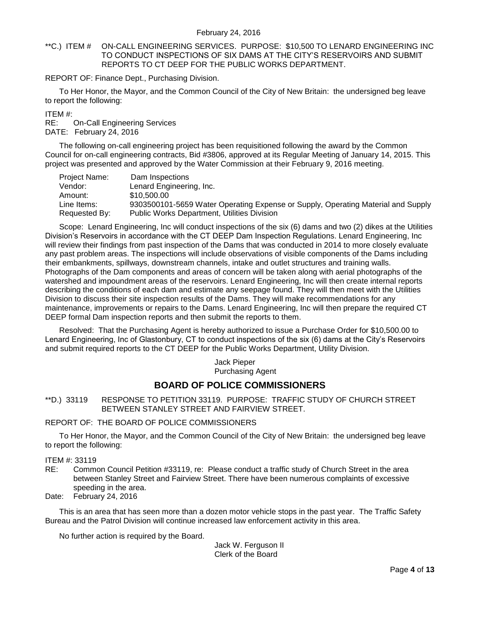<span id="page-3-0"></span>\*\*C.) ITEM # ON-CALL ENGINEERING SERVICES. PURPOSE: \$10,500 TO LENARD ENGINEERING INC TO CONDUCT INSPECTIONS OF SIX DAMS AT THE CITY'S RESERVOIRS AND SUBMIT REPORTS TO CT DEEP FOR THE PUBLIC WORKS DEPARTMENT.

REPORT OF: Finance Dept., Purchasing Division.

To Her Honor, the Mayor, and the Common Council of the City of New Britain: the undersigned beg leave to report the following:

ITEM #:

RE: On-Call Engineering Services DATE: February 24, 2016

The following on-call engineering project has been requisitioned following the award by the Common Council for on-call engineering contracts, Bid #3806, approved at its Regular Meeting of January 14, 2015. This project was presented and approved by the Water Commission at their February 9, 2016 meeting.

| Project Name: | Dam Inspections                                                                  |  |
|---------------|----------------------------------------------------------------------------------|--|
| Vendor:       | Lenard Engineering, Inc.                                                         |  |
| Amount:       | \$10.500.00                                                                      |  |
| Line Items:   | 9303500101-5659 Water Operating Expense or Supply, Operating Material and Supply |  |
| Requested By: | <b>Public Works Department, Utilities Division</b>                               |  |

Scope: Lenard Engineering, Inc will conduct inspections of the six (6) dams and two (2) dikes at the Utilities Division's Reservoirs in accordance with the CT DEEP Dam Inspection Regulations. Lenard Engineering, Inc will review their findings from past inspection of the Dams that was conducted in 2014 to more closely evaluate any past problem areas. The inspections will include observations of visible components of the Dams including their embankments, spillways, downstream channels, intake and outlet structures and training walls. Photographs of the Dam components and areas of concern will be taken along with aerial photographs of the watershed and impoundment areas of the reservoirs. Lenard Engineering, Inc will then create internal reports describing the conditions of each dam and estimate any seepage found. They will then meet with the Utilities Division to discuss their site inspection results of the Dams. They will make recommendations for any maintenance, improvements or repairs to the Dams. Lenard Engineering, Inc will then prepare the required CT DEEP formal Dam inspection reports and then submit the reports to them.

Resolved: That the Purchasing Agent is hereby authorized to issue a Purchase Order for \$10,500.00 to Lenard Engineering, Inc of Glastonbury, CT to conduct inspections of the six (6) dams at the City's Reservoirs and submit required reports to the CT DEEP for the Public Works Department, Utility Division.

Jack Pieper Purchasing Agent

## **BOARD OF POLICE COMMISSIONERS**

<span id="page-3-1"></span>\*\*D.) 33119 RESPONSE TO PETITION 33119. PURPOSE: TRAFFIC STUDY OF CHURCH STREET BETWEEN STANLEY STREET AND FAIRVIEW STREET.

### REPORT OF: THE BOARD OF POLICE COMMISSIONERS

To Her Honor, the Mayor, and the Common Council of the City of New Britain: the undersigned beg leave to report the following:

ITEM #: 33119

- RE: Common Council Petition #33119, re: Please conduct a traffic study of Church Street in the area between Stanley Street and Fairview Street. There have been numerous complaints of excessive speeding in the area.
- Date: February 24, 2016

This is an area that has seen more than a dozen motor vehicle stops in the past year. The Traffic Safety Bureau and the Patrol Division will continue increased law enforcement activity in this area.

No further action is required by the Board.

Jack W. Ferguson II Clerk of the Board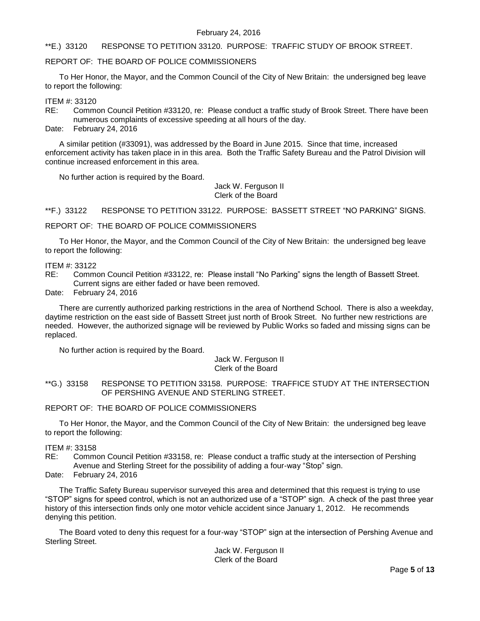#### <span id="page-4-0"></span>\*\*E.) 33120 RESPONSE TO PETITION 33120. PURPOSE: TRAFFIC STUDY OF BROOK STREET.

#### REPORT OF: THE BOARD OF POLICE COMMISSIONERS

To Her Honor, the Mayor, and the Common Council of the City of New Britain: the undersigned beg leave to report the following:

ITEM #: 33120

- RE: Common Council Petition #33120, re: Please conduct a traffic study of Brook Street. There have been numerous complaints of excessive speeding at all hours of the day.
- Date: February 24, 2016

A similar petition (#33091), was addressed by the Board in June 2015. Since that time, increased enforcement activity has taken place in in this area. Both the Traffic Safety Bureau and the Patrol Division will continue increased enforcement in this area.

No further action is required by the Board.

Jack W. Ferguson II Clerk of the Board

<span id="page-4-1"></span>\*\*F.) 33122 RESPONSE TO PETITION 33122. PURPOSE: BASSETT STREET "NO PARKING" SIGNS.

REPORT OF: THE BOARD OF POLICE COMMISSIONERS

To Her Honor, the Mayor, and the Common Council of the City of New Britain: the undersigned beg leave to report the following:

#### ITEM #: 33122

RE: Common Council Petition #33122, re: Please install "No Parking" signs the length of Bassett Street. Current signs are either faded or have been removed.

Date: February 24, 2016

There are currently authorized parking restrictions in the area of Northend School. There is also a weekday, daytime restriction on the east side of Bassett Street just north of Brook Street. No further new restrictions are needed. However, the authorized signage will be reviewed by Public Works so faded and missing signs can be replaced.

No further action is required by the Board.

#### Jack W. Ferguson II Clerk of the Board

### <span id="page-4-2"></span>\*\*G.) 33158 RESPONSE TO PETITION 33158. PURPOSE: TRAFFICE STUDY AT THE INTERSECTION OF PERSHING AVENUE AND STERLING STREET.

#### REPORT OF: THE BOARD OF POLICE COMMISSIONERS

To Her Honor, the Mayor, and the Common Council of the City of New Britain: the undersigned beg leave to report the following:

#### ITEM #: 33158

RE: Common Council Petition #33158, re: Please conduct a traffic study at the intersection of Pershing Avenue and Sterling Street for the possibility of adding a four-way "Stop" sign.

#### Date: February 24, 2016

The Traffic Safety Bureau supervisor surveyed this area and determined that this request is trying to use "STOP" signs for speed control, which is not an authorized use of a "STOP" sign. A check of the past three year history of this intersection finds only one motor vehicle accident since January 1, 2012. He recommends denying this petition.

The Board voted to deny this request for a four-way "STOP" sign at the intersection of Pershing Avenue and Sterling Street.

> Jack W. Ferguson II Clerk of the Board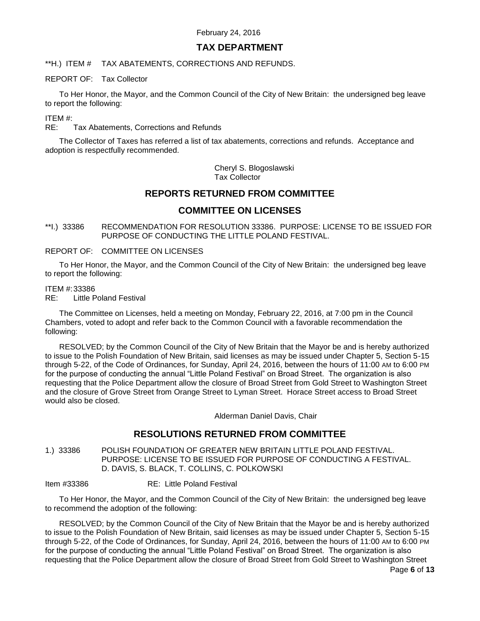# **TAX DEPARTMENT**

<span id="page-5-0"></span>\*\*H.) ITEM # TAX ABATEMENTS, CORRECTIONS AND REFUNDS.

REPORT OF: Tax Collector

To Her Honor, the Mayor, and the Common Council of the City of New Britain: the undersigned beg leave to report the following:

ITEM #:

RE: Tax Abatements, Corrections and Refunds

The Collector of Taxes has referred a list of tax abatements, corrections and refunds. Acceptance and adoption is respectfully recommended.

> Cheryl S. Blogoslawski Tax Collector

# **REPORTS RETURNED FROM COMMITTEE**

# **COMMITTEE ON LICENSES**

<span id="page-5-1"></span>\*\*I.) 33386 RECOMMENDATION FOR RESOLUTION 33386. PURPOSE: LICENSE TO BE ISSUED FOR PURPOSE OF CONDUCTING THE LITTLE POLAND FESTIVAL.

REPORT OF: COMMITTEE ON LICENSES

To Her Honor, the Mayor, and the Common Council of the City of New Britain: the undersigned beg leave to report the following:

#### ITEM #:33386

RE: Little Poland Festival

The Committee on Licenses, held a meeting on Monday, February 22, 2016, at 7:00 pm in the Council Chambers, voted to adopt and refer back to the Common Council with a favorable recommendation the following:

RESOLVED; by the Common Council of the City of New Britain that the Mayor be and is hereby authorized to issue to the Polish Foundation of New Britain, said licenses as may be issued under Chapter 5, Section 5-15 through 5-22, of the Code of Ordinances, for Sunday, April 24, 2016, between the hours of 11:00 AM to 6:00 PM for the purpose of conducting the annual "Little Poland Festival" on Broad Street. The organization is also requesting that the Police Department allow the closure of Broad Street from Gold Street to Washington Street and the closure of Grove Street from Orange Street to Lyman Street. Horace Street access to Broad Street would also be closed.

Alderman Daniel Davis, Chair

## **RESOLUTIONS RETURNED FROM COMMITTEE**

<span id="page-5-2"></span>1.) 33386 POLISH FOUNDATION OF GREATER NEW BRITAIN LITTLE POLAND FESTIVAL. PURPOSE: LICENSE TO BE ISSUED FOR PURPOSE OF CONDUCTING A FESTIVAL. D. DAVIS, S. BLACK, T. COLLINS, C. POLKOWSKI

Item #33386 RE: Little Poland Festival

To Her Honor, the Mayor, and the Common Council of the City of New Britain: the undersigned beg leave to recommend the adoption of the following:

RESOLVED; by the Common Council of the City of New Britain that the Mayor be and is hereby authorized to issue to the Polish Foundation of New Britain, said licenses as may be issued under Chapter 5, Section 5-15 through 5-22, of the Code of Ordinances, for Sunday, April 24, 2016, between the hours of 11:00 AM to 6:00 PM for the purpose of conducting the annual "Little Poland Festival" on Broad Street. The organization is also requesting that the Police Department allow the closure of Broad Street from Gold Street to Washington Street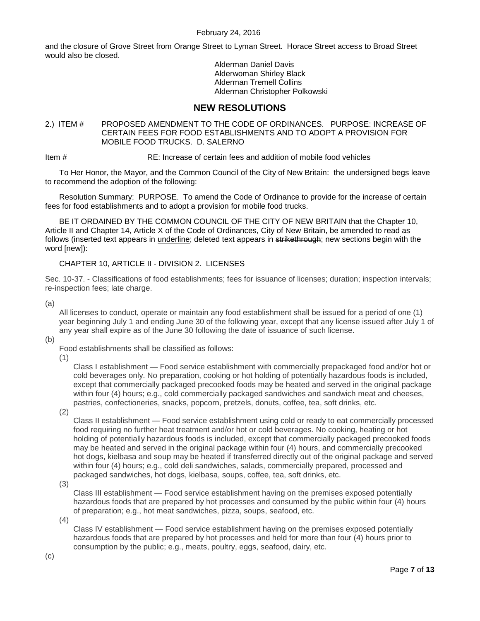and the closure of Grove Street from Orange Street to Lyman Street. Horace Street access to Broad Street would also be closed.

> Alderman Daniel Davis Alderwoman Shirley Black Alderman Tremell Collins Alderman Christopher Polkowski

# **NEW RESOLUTIONS**

### <span id="page-6-0"></span>2.) ITEM # PROPOSED AMENDMENT TO THE CODE OF ORDINANCES. PURPOSE: INCREASE OF CERTAIN FEES FOR FOOD ESTABLISHMENTS AND TO ADOPT A PROVISION FOR MOBILE FOOD TRUCKS. D. SALERNO

Item # RE: Increase of certain fees and addition of mobile food vehicles

To Her Honor, the Mayor, and the Common Council of the City of New Britain: the undersigned begs leave to recommend the adoption of the following:

Resolution Summary: PURPOSE. To amend the Code of Ordinance to provide for the increase of certain fees for food establishments and to adopt a provision for mobile food trucks.

BE IT ORDAINED BY THE COMMON COUNCIL OF THE CITY OF NEW BRITAIN that the Chapter 10, Article II and Chapter 14, Article X of the Code of Ordinances, City of New Britain, be amended to read as follows (inserted text appears in underline; deleted text appears in strikethrough; new sections begin with the word [new]):

### CHAPTER 10, ARTICLE II - DIVISION 2. LICENSES

Sec. 10-37. - Classifications of food establishments; fees for issuance of licenses; duration; inspection intervals; re-inspection fees; late charge.

(a)

(b)

All licenses to conduct, operate or maintain any food establishment shall be issued for a period of one (1) year beginning July 1 and ending June 30 of the following year, except that any license issued after July 1 of any year shall expire as of the June 30 following the date of issuance of such license.

Food establishments shall be classified as follows:

(1)

Class I establishment — Food service establishment with commercially prepackaged food and/or hot or cold beverages only. No preparation, cooking or hot holding of potentially hazardous foods is included, except that commercially packaged precooked foods may be heated and served in the original package within four (4) hours; e.g., cold commercially packaged sandwiches and sandwich meat and cheeses, pastries, confectioneries, snacks, popcorn, pretzels, donuts, coffee, tea, soft drinks, etc.

(2)

Class II establishment — Food service establishment using cold or ready to eat commercially processed food requiring no further heat treatment and/or hot or cold beverages. No cooking, heating or hot holding of potentially hazardous foods is included, except that commercially packaged precooked foods may be heated and served in the original package within four (4) hours, and commercially precooked hot dogs, kielbasa and soup may be heated if transferred directly out of the original package and served within four (4) hours; e.g., cold deli sandwiches, salads, commercially prepared, processed and packaged sandwiches, hot dogs, kielbasa, soups, coffee, tea, soft drinks, etc.

(3)

Class III establishment — Food service establishment having on the premises exposed potentially hazardous foods that are prepared by hot processes and consumed by the public within four (4) hours of preparation; e.g., hot meat sandwiches, pizza, soups, seafood, etc.

(4)

Class IV establishment — Food service establishment having on the premises exposed potentially hazardous foods that are prepared by hot processes and held for more than four (4) hours prior to consumption by the public; e.g., meats, poultry, eggs, seafood, dairy, etc.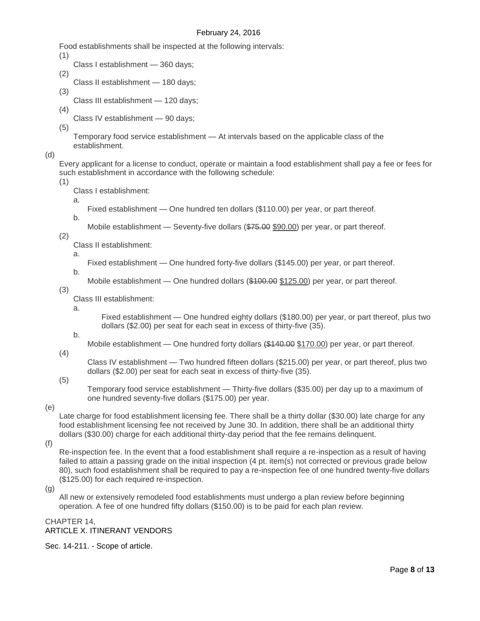Food establishments shall be inspected at the following intervals:

- (1)
	- Class I establishment 360 days;
- (2)
	- Class II establishment 180 days;
- (3)

Class III establishment — 120 days;

(4) Class IV establishment — 90 days;

(5)

Temporary food service establishment — At intervals based on the applicable class of the establishment.

(d)

Every applicant for a license to conduct, operate or maintain a food establishment shall pay a fee or fees for such establishment in accordance with the following schedule:

(1)

Class I establishment:

a.

b.

Fixed establishment — One hundred ten dollars (\$110.00) per year, or part thereof.

Mobile establishment — Seventy-five dollars (\$75.00 \$90.00) per year, or part thereof.

(2)

Class II establishment:

Fixed establishment — One hundred forty-five dollars (\$145.00) per year, or part thereof.

b.

a.

Mobile establishment — One hundred dollars (\$100.00 \$125.00) per year, or part thereof.

(3)

Class III establishment:

a.

b.

Fixed establishment — One hundred eighty dollars (\$180.00) per year, or part thereof, plus two dollars (\$2.00) per seat for each seat in excess of thirty-five (35).

Mobile establishment — One hundred forty dollars  $($140.00 $170.00)$  per year, or part thereof.

(4)

Class IV establishment — Two hundred fifteen dollars (\$215.00) per year, or part thereof, plus two dollars (\$2.00) per seat for each seat in excess of thirty-five (35).

(5)

Temporary food service establishment — Thirty-five dollars (\$35.00) per day up to a maximum of one hundred seventy-five dollars (\$175.00) per year.

(e)

Late charge for food establishment licensing fee. There shall be a thirty dollar (\$30.00) late charge for any food establishment licensing fee not received by June 30. In addition, there shall be an additional thirty dollars (\$30.00) charge for each additional thirty-day period that the fee remains delinquent.

(f)

Re-inspection fee. In the event that a food establishment shall require a re-inspection as a result of having failed to attain a passing grade on the initial inspection (4 pt. item(s) not corrected or previous grade below 80), such food establishment shall be required to pay a re-inspection fee of one hundred twenty-five dollars (\$125.00) for each required re-inspection.

(g)

All new or extensively remodeled food establishments must undergo a plan review before beginning operation. A fee of one hundred fifty dollars (\$150.00) is to be paid for each plan review.

#### CHAPTER 14, ARTICLE X. ITINERANT VENDORS

Sec. 14-211. - Scope of article.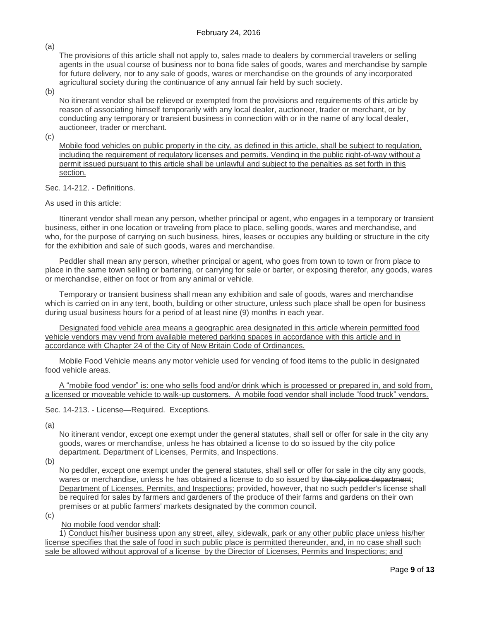(a)

The provisions of this article shall not apply to, sales made to dealers by commercial travelers or selling agents in the usual course of business nor to bona fide sales of goods, wares and merchandise by sample for future delivery, nor to any sale of goods, wares or merchandise on the grounds of any incorporated agricultural society during the continuance of any annual fair held by such society.

(b)

No itinerant vendor shall be relieved or exempted from the provisions and requirements of this article by reason of associating himself temporarily with any local dealer, auctioneer, trader or merchant, or by conducting any temporary or transient business in connection with or in the name of any local dealer, auctioneer, trader or merchant.

 $(c)$ 

Mobile food vehicles on public property in the city, as defined in this article, shall be subject to regulation, including the requirement of regulatory licenses and permits. Vending in the public right-of-way without a permit issued pursuant to this article shall be unlawful and subject to the penalties as set forth in this section.

Sec. 14-212. - Definitions.

#### As used in this article:

Itinerant vendor shall mean any person, whether principal or agent, who engages in a temporary or transient business, either in one location or traveling from place to place, selling goods, wares and merchandise, and who, for the purpose of carrying on such business, hires, leases or occupies any building or structure in the city for the exhibition and sale of such goods, wares and merchandise.

Peddler shall mean any person, whether principal or agent, who goes from town to town or from place to place in the same town selling or bartering, or carrying for sale or barter, or exposing therefor, any goods, wares or merchandise, either on foot or from any animal or vehicle.

Temporary or transient business shall mean any exhibition and sale of goods, wares and merchandise which is carried on in any tent, booth, building or other structure, unless such place shall be open for business during usual business hours for a period of at least nine (9) months in each year.

Designated food vehicle area means a geographic area designated in this article wherein permitted food vehicle vendors may vend from available metered parking spaces in accordance with this article and in accordance with Chapter 24 of the City of New Britain Code of Ordinances.

Mobile Food Vehicle means any motor vehicle used for vending of food items to the public in designated food vehicle areas.

A "mobile food vendor" is: one who sells food and/or drink which is processed or prepared in, and sold from, a licensed or moveable vehicle to walk-up customers. A mobile food vendor shall include "food truck" vendors.

Sec. 14-213. - License—Required. Exceptions.

(a)

No itinerant vendor, except one exempt under the general statutes, shall sell or offer for sale in the city any goods, wares or merchandise, unless he has obtained a license to do so issued by the city police department. Department of Licenses, Permits, and Inspections.

(b)

No peddler, except one exempt under the general statutes, shall sell or offer for sale in the city any goods, wares or merchandise, unless he has obtained a license to do so issued by the city police department; Department of Licenses, Permits, and Inspections; provided, however, that no such peddler's license shall be required for sales by farmers and gardeners of the produce of their farms and gardens on their own premises or at public farmers' markets designated by the common council.

 $(c)$ 

No mobile food vendor shall:

1) Conduct his/her business upon any street, alley, sidewalk, park or any other public place unless his/her license specifies that the sale of food in such public place is permitted thereunder, and, in no case shall such sale be allowed without approval of a license by the Director of Licenses, Permits and Inspections; and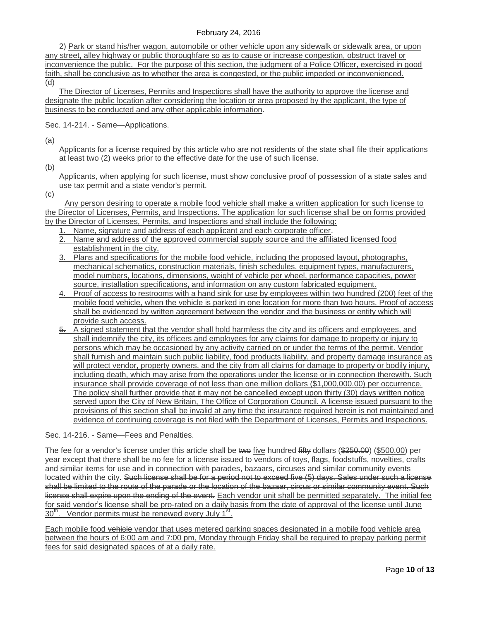2) Park or stand his/her wagon, automobile or other vehicle upon any sidewalk or sidewalk area, or upon any street, alley highway or public thoroughfare so as to cause or increase congestion, obstruct travel or inconvenience the public. For the purpose of this section, the judgment of a Police Officer, exercised in good faith, shall be conclusive as to whether the area is congested, or the public impeded or inconvenienced. (d)

The Director of Licenses, Permits and Inspections shall have the authority to approve the license and designate the public location after considering the location or area proposed by the applicant, the type of business to be conducted and any other applicable information.

Sec. 14-214. - Same—Applications.

(a)

Applicants for a license required by this article who are not residents of the state shall file their applications at least two (2) weeks prior to the effective date for the use of such license.

(b)

Applicants, when applying for such license, must show conclusive proof of possession of a state sales and use tax permit and a state vendor's permit.

(c)

 Any person desiring to operate a mobile food vehicle shall make a written application for such license to the Director of Licenses, Permits, and Inspections. The application for such license shall be on forms provided by the Director of Licenses, Permits, and Inspections and shall include the following:

- 1. Name, signature and address of each applicant and each corporate officer.
- 2. Name and address of the approved commercial supply source and the affiliated licensed food establishment in the city.
- 3. Plans and specifications for the mobile food vehicle, including the proposed layout, photographs, mechanical schematics, construction materials, finish schedules, equipment types, manufacturers, model numbers, locations, dimensions, weight of vehicle per wheel, performance capacities, power source, installation specifications, and information on any custom fabricated equipment.
- 4. Proof of access to restrooms with a hand sink for use by employees within two hundred (200) feet of the mobile food vehicle, when the vehicle is parked in one location for more than two hours. Proof of access shall be evidenced by written agreement between the vendor and the business or entity which will provide such access.
- 5. A signed statement that the vendor shall hold harmless the city and its officers and employees, and shall indemnify the city, its officers and employees for any claims for damage to property or injury to persons which may be occasioned by any activity carried on or under the terms of the permit. Vendor shall furnish and maintain such public liability, food products liability, and property damage insurance as will protect vendor, property owners, and the city from all claims for damage to property or bodily injury, including death, which may arise from the operations under the license or in connection therewith. Such insurance shall provide coverage of not less than one million dollars (\$1,000,000.00) per occurrence. The policy shall further provide that it may not be cancelled except upon thirty (30) days written notice served upon the City of New Britain, The Office of Corporation Council. A license issued pursuant to the provisions of this section shall be invalid at any time the insurance required herein is not maintained and evidence of continuing coverage is not filed with the Department of Licenses, Permits and Inspections.

Sec. 14-216. - Same—Fees and Penalties.

The fee for a vendor's license under this article shall be two five hundred fifty dollars (\$250.00) (\$500.00) per year except that there shall be no fee for a license issued to vendors of toys, flags, foodstuffs, novelties, crafts and similar items for use and in connection with parades, bazaars, circuses and similar community events located within the city. Such license shall be for a period not to exceed five (5) days. Sales under such a license shall be limited to the route of the parade or the location of the bazaar, circus or similar community event. Such license shall expire upon the ending of the event. Each vendor unit shall be permitted separately. The initial fee for said vendor's license shall be pro-rated on a daily basis from the date of approval of the license until June 30<sup>th</sup>. Vendor permits must be renewed every July 1<sup>st</sup>.

Each mobile food vehicle vendor that uses metered parking spaces designated in a mobile food vehicle area between the hours of 6:00 am and 7:00 pm, Monday through Friday shall be required to prepay parking permit fees for said designated spaces of at a daily rate.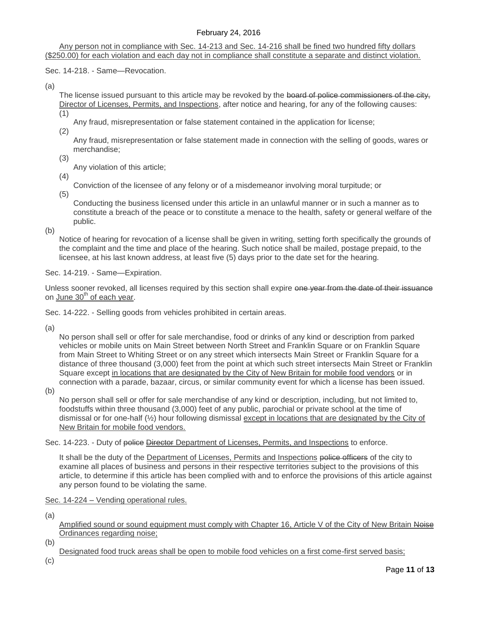Any person not in compliance with Sec. 14-213 and Sec. 14-216 shall be fined two hundred fifty dollars (\$250.00) for each violation and each day not in compliance shall constitute a separate and distinct violation.

Sec. 14-218. - Same—Revocation.

(a)

The license issued pursuant to this article may be revoked by the board of police commissioners of the city, Director of Licenses, Permits, and Inspections, after notice and hearing, for any of the following causes:

(1)

- Any fraud, misrepresentation or false statement contained in the application for license;
- (2)
	- Any fraud, misrepresentation or false statement made in connection with the selling of goods, wares or merchandise;
- (3)
	- Any violation of this article;
- (4)
- Conviction of the licensee of any felony or of a misdemeanor involving moral turpitude; or (5)

Conducting the business licensed under this article in an unlawful manner or in such a manner as to constitute a breach of the peace or to constitute a menace to the health, safety or general welfare of the public.

(b)

Notice of hearing for revocation of a license shall be given in writing, setting forth specifically the grounds of the complaint and the time and place of the hearing. Such notice shall be mailed, postage prepaid, to the licensee, at his last known address, at least five (5) days prior to the date set for the hearing.

Sec. 14-219. - Same—Expiration.

Unless sooner revoked, all licenses required by this section shall expire one year from the date of their issuance on June  $30<sup>th</sup>$  of each year.

Sec. 14-222. - Selling goods from vehicles prohibited in certain areas.

(a)

No person shall sell or offer for sale merchandise, food or drinks of any kind or description from parked vehicles or mobile units on Main Street between North Street and Franklin Square or on Franklin Square from Main Street to Whiting Street or on any street which intersects Main Street or Franklin Square for a distance of three thousand (3,000) feet from the point at which such street intersects Main Street or Franklin Square except in locations that are designated by the City of New Britain for mobile food vendors or in connection with a parade, bazaar, circus, or similar community event for which a license has been issued.

(b)

No person shall sell or offer for sale merchandise of any kind or description, including, but not limited to, foodstuffs within three thousand (3,000) feet of any public, parochial or private school at the time of dismissal or for one-half (½) hour following dismissal except in locations that are designated by the City of New Britain for mobile food vendors.

Sec. 14-223. - Duty of police Director Department of Licenses, Permits, and Inspections to enforce.

It shall be the duty of the Department of Licenses, Permits and Inspections police officers of the city to examine all places of business and persons in their respective territories subject to the provisions of this article, to determine if this article has been complied with and to enforce the provisions of this article against any person found to be violating the same.

Sec. 14-224 – Vending operational rules.

(a)

Amplified sound or sound equipment must comply with Chapter 16, Article V of the City of New Britain Noise Ordinances regarding noise;

Designated food truck areas shall be open to mobile food vehicles on a first come-first served basis;

(c)

(b)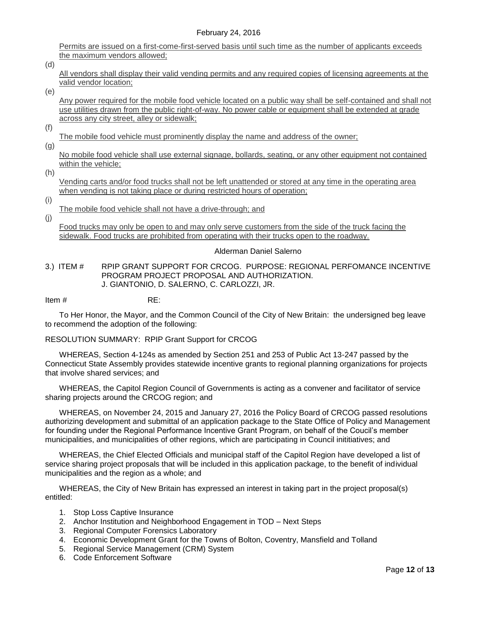Permits are issued on a first-come-first-served basis until such time as the number of applicants exceeds the maximum vendors allowed;

(d)

All vendors shall display their valid vending permits and any required copies of licensing agreements at the valid vendor location;

(e)

Any power required for the mobile food vehicle located on a public way shall be self-contained and shall not use utilities drawn from the public right-of-way. No power cable or equipment shall be extended at grade across any city street, alley or sidewalk;

(f)

The mobile food vehicle must prominently display the name and address of the owner;

(g)

No mobile food vehicle shall use external signage, bollards, seating, or any other equipment not contained within the vehicle;

(h)

Vending carts and/or food trucks shall not be left unattended or stored at any time in the operating area when vending is not taking place or during restricted hours of operation;

(i)

(j)

The mobile food vehicle shall not have a drive-through; and

Food trucks may only be open to and may only serve customers from the side of the truck facing the sidewalk. Food trucks are prohibited from operating with their trucks open to the roadway.

#### Alderman Daniel Salerno

<span id="page-11-0"></span>3.) ITEM # RPIP GRANT SUPPORT FOR CRCOG. PURPOSE: REGIONAL PERFOMANCE INCENTIVE PROGRAM PROJECT PROPOSAL AND AUTHORIZATION. J. GIANTONIO, D. SALERNO, C. CARLOZZI, JR.

Item # RE:

To Her Honor, the Mayor, and the Common Council of the City of New Britain: the undersigned beg leave to recommend the adoption of the following:

#### RESOLUTION SUMMARY: RPIP Grant Support for CRCOG

WHEREAS, Section 4-124s as amended by Section 251 and 253 of Public Act 13-247 passed by the Connecticut State Assembly provides statewide incentive grants to regional planning organizations for projects that involve shared services; and

WHEREAS, the Capitol Region Council of Governments is acting as a convener and facilitator of service sharing projects around the CRCOG region; and

WHEREAS, on November 24, 2015 and January 27, 2016 the Policy Board of CRCOG passed resolutions authorizing development and submittal of an application package to the State Office of Policy and Management for founding under the Regional Performance Incentive Grant Program, on behalf of the Coucil's member municipalities, and municipalities of other regions, which are participating in Council inititiatives; and

WHEREAS, the Chief Elected Officials and municipal staff of the Capitol Region have developed a list of service sharing project proposals that will be included in this application package, to the benefit of individual municipalities and the region as a whole; and

WHEREAS, the City of New Britain has expressed an interest in taking part in the project proposal(s) entitled:

- 1. Stop Loss Captive Insurance
- 2. Anchor Institution and Neighborhood Engagement in TOD Next Steps
- 3. Regional Computer Forensics Laboratory
- 4. Economic Development Grant for the Towns of Bolton, Coventry, Mansfield and Tolland
- 5. Regional Service Management (CRM) System
- 6. Code Enforcement Software